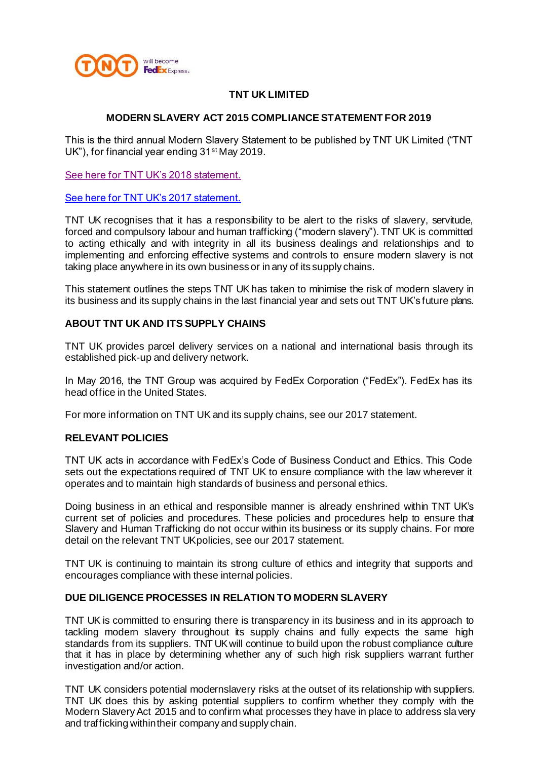

# **TNT UK LIMITED**

### **MODERN SLAVERY ACT 2015 COMPLIANCE STATEMENT FOR 2019**

This is the third annual Modern Slavery Statement to be published by TNT UK Limited ("TNT UK"), for financial year ending 31<sup>st</sup> May 2019.

[See here for TNT UK's 2018 statement.](https://www.tnt.com/dam/tnt_express_media/tnt-local-pages/en_gb/modern%20slavery%20act%202015%20compliance%20statement%20for%202018.pdf)

[See here for TNT UK's 2017 statement.](https://www.tnt.com/dam/tnt_express_media/tnt-local-pages/en_gb/modern%20slavery%20act%202015%20compliance%20statement%20for%202017.pdf)

TNT UK recognises that it has a responsibility to be alert to the risks of slavery, servitude, forced and compulsory labour and human trafficking ("modern slavery"). TNT UK is committed to acting ethically and with integrity in all its business dealings and relationships and to implementing and enforcing effective systems and controls to ensure modern slavery is not taking place anywhere in its own business or in any of its supply chains.

This statement outlines the steps TNT UK has taken to minimise the risk of modern slavery in its business and its supply chains in the last financial year and sets out TNT UK's future plans.

### **ABOUT TNT UK AND ITS SUPPLY CHAINS**

TNT UK provides parcel delivery services on a national and international basis through its established pick-up and delivery network.

In May 2016, the TNT Group was acquired by FedEx Corporation ("FedEx"). FedEx has its head office in the United States.

For more information on TNT UK and its supply chains, see our 2017 statement.

### **RELEVANT POLICIES**

TNT UK acts in accordance with FedEx's Code of Business Conduct and Ethics. This Code sets out the expectations required of TNT UK to ensure compliance with the law wherever it operates and to maintain high standards of business and personal ethics.

Doing business in an ethical and responsible manner is already enshrined within TNT UK's current set of policies and procedures. These policies and procedures help to ensure that Slavery and Human Trafficking do not occur within its business or its supply chains. For more detail on the relevant TNT UK policies, see our 2017 statement.

TNT UK is continuing to maintain its strong culture of ethics and integrity that supports and encourages compliance with these internal policies.

### **DUE DILIGENCE PROCESSES IN RELATION TO MODERN SLAVERY**

TNT UK is committed to ensuring there is transparency in its business and in its approach to tackling modern slavery throughout its supply chains and fully expects the same high standards from its suppliers. TNT UK will continue to build upon the robust compliance culture that it has in place by determining whether any of such high risk suppliers warrant further investigation and/or action.

TNT UK considers potential modernslavery risks at the outset of its relationship with suppliers. TNT UK does this by asking potential suppliers to confirm whether they comply with the Modern Slavery Act 2015 and to confirm what processes they have in place to address sla very and trafficking withintheir company and supply chain.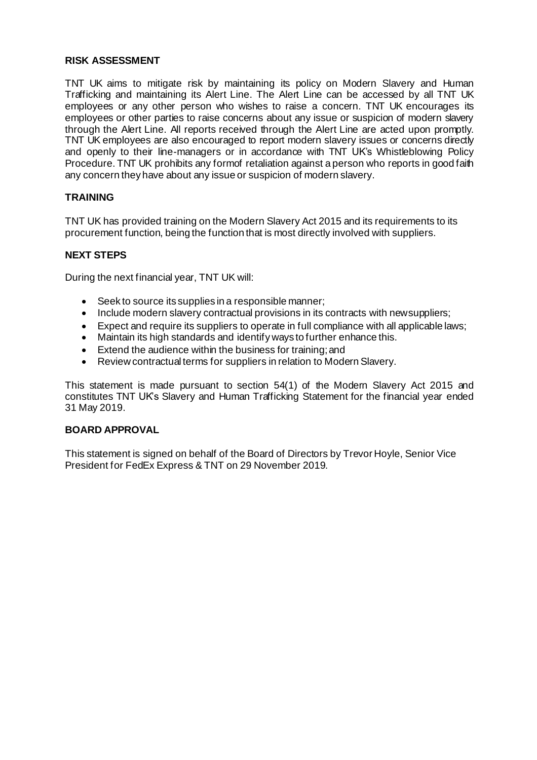### **RISK ASSESSMENT**

TNT UK aims to mitigate risk by maintaining its policy on Modern Slavery and Human Trafficking and maintaining its Alert Line. The Alert Line can be accessed by all TNT UK employees or any other person who wishes to raise a concern. TNT UK encourages its employees or other parties to raise concerns about any issue or suspicion of modern slavery through the Alert Line. All reports received through the Alert Line are acted upon promptly. TNT UK employees are also encouraged to report modern slavery issues or concerns directly and openly to their line-managers or in accordance with TNT UK's Whistleblowing Policy Procedure. TNT UK prohibits any formof retaliation against a person who reports in good faith any concern they have about any issue or suspicion of modern slavery.

# **TRAINING**

TNT UK has provided training on the Modern Slavery Act 2015 and its requirements to its procurement function, being the function that is most directly involved with suppliers.

## **NEXT STEPS**

During the next financial year, TNT UK will:

- Seek to source its supplies in a responsible manner;
- Include modern slavery contractual provisions in its contracts with newsuppliers;
- Expect and require its suppliers to operate in full compliance with all applicable laws;
- Maintain its high standards and identify ways to further enhance this.
- Extend the audience within the business for training;and
- Review contractual terms for suppliers in relation to Modern Slavery.

This statement is made pursuant to section 54(1) of the Modern Slavery Act 2015 and constitutes TNT UK's Slavery and Human Trafficking Statement for the financial year ended 31 May 2019.

### **BOARD APPROVAL**

This statement is signed on behalf of the Board of Directors by Trevor Hoyle, Senior Vice President for FedEx Express & TNT on 29 November 2019.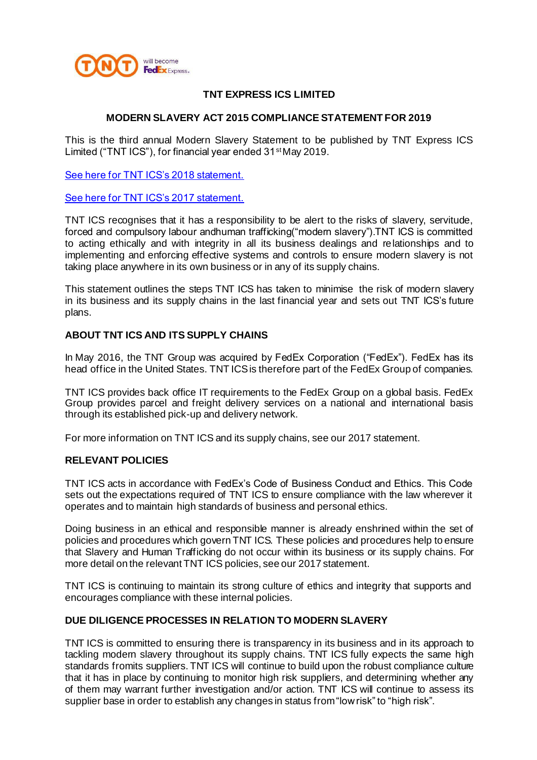

# **TNT EXPRESS ICS LIMITED**

#### **MODERN SLAVERY ACT 2015 COMPLIANCE STATEMENT FOR 2019**

This is the third annual Modern Slavery Statement to be published by TNT Express ICS Limited ("TNT ICS"), for financial year ended 31st May 2019.

[See here for TNT ICS's 2018 statement.](https://www.tnt.com/dam/tnt_express_media/tnt-local-pages/en_gb/modern%20slavery%20act%202015%20compliance%20statement%20for%202018.pdf)

[See here for TNT ICS's 2017 statement.](https://www.tnt.com/dam/tnt_express_media/tnt-local-pages/en_gb/modern%20slavery%20act%202015%20compliance%20statement%20for%202017.pdf)

TNT ICS recognises that it has a responsibility to be alert to the risks of slavery, servitude, forced and compulsory labour andhuman trafficking("modern slavery").TNT ICS is committed to acting ethically and with integrity in all its business dealings and relationships and to implementing and enforcing effective systems and controls to ensure modern slavery is not taking place anywhere in its own business or in any of its supply chains.

This statement outlines the steps TNT ICS has taken to minimise the risk of modern slavery in its business and its supply chains in the last financial year and sets out TNT ICS's future plans.

#### **ABOUT TNT ICS AND ITS SUPPLY CHAINS**

In May 2016, the TNT Group was acquired by FedEx Corporation ("FedEx"). FedEx has its head office in the United States. TNT ICS is therefore part of the FedEx Group of companies.

TNT ICS provides back office IT requirements to the FedEx Group on a global basis. FedEx Group provides parcel and freight delivery services on a national and international basis through its established pick-up and delivery network.

For more information on TNT ICS and its supply chains, see our 2017 statement.

### **RELEVANT POLICIES**

TNT ICS acts in accordance with FedEx's Code of Business Conduct and Ethics. This Code sets out the expectations required of TNT ICS to ensure compliance with the law wherever it operates and to maintain high standards of business and personal ethics.

Doing business in an ethical and responsible manner is already enshrined within the set of policies and procedures which govern TNT ICS. These policies and procedures help to ensure that Slavery and Human Trafficking do not occur within its business or its supply chains. For more detail on the relevant TNT ICS policies, see our 2017 statement.

TNT ICS is continuing to maintain its strong culture of ethics and integrity that supports and encourages compliance with these internal policies.

### **DUE DILIGENCE PROCESSES IN RELATION TO MODERN SLAVERY**

TNT ICS is committed to ensuring there is transparency in its business and in its approach to tackling modern slavery throughout its supply chains. TNT ICS fully expects the same high standards fromits suppliers. TNT ICS will continue to build upon the robust compliance culture that it has in place by continuing to monitor high risk suppliers, and determining whether any of them may warrant further investigation and/or action. TNT ICS will continue to assess its supplier base in order to establish any changes in status from"lowrisk" to "high risk".